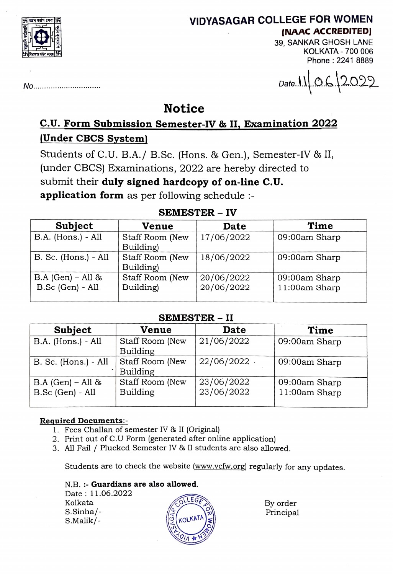

# VIDYASAGAR COLLEGE FOR WOMEN (NAAC ACCREDITED

39, SANKAR GHOSH LANE KOLKATA - 700 006 Phone: 2241 8889

No............. Date.lO.2.022

## Notice

# C.U. Form Submission Semester-IV & II, Examination 2022 (Under CBCS System)

Students of C.U. B.A./ B.Sc. (Hons. & Gen.), Semester-IV & II, (under CBCS) Examinations, 2022 are hereby directed to submit their duly signed hardcopy of on-line C.U. application form as per following schedule :-

## SEMESTER - IV

| Subject                                 | Venue                        | Date                     | Time                           |
|-----------------------------------------|------------------------------|--------------------------|--------------------------------|
| B.A. (Hons.) - All                      | Staff Room (New<br>Building) | 17/06/2022               | 09:00am Sharp                  |
| B. Sc. (Hons.) - All                    | Staff Room (New<br>Building) | 18/06/2022               | 09:00am Sharp                  |
| $B.A (Gen) - All &$<br>B.Sc (Gen) - All | Staff Room (New<br>Building) | 20/06/2022<br>20/06/2022 | 09:00am Sharp<br>11:00am Sharp |

#### SEMESTER - II

| Subject                                 | <b>Venue</b>                       | Date                     | Time                           |  |  |
|-----------------------------------------|------------------------------------|--------------------------|--------------------------------|--|--|
| B.A. (Hons.) - All                      | Staff Room (New<br><b>Building</b> | 21/06/2022               | 09:00am Sharp                  |  |  |
| B. Sc. (Hons.) - All                    | Staff Room (New<br>Building        | $22/06/2022$ .           | 09:00am Sharp                  |  |  |
| $B.A (Gen) - All &$<br>B.Sc (Gen) - All | Staff Room (New<br><b>Building</b> | 23/06/2022<br>23/06/2022 | 09:00am Sharp<br>11:00am Sharp |  |  |

#### Required Documents:

- 1. Fees Challan of semester IV & II (Original)
- 2. Print out of C.U Form (generated after online application)
- 3. All Fail/ Plucked Semester IV & II students are also allowed.

Students are to check the website (www.vcfw.org) regularly for any updates.

N.B.:- Guardians are also allowed.

Date: 11.06.2022  $K$ olkata  $\sqrt{C}$ S.Sinha/- S.Malik/



By order Principal